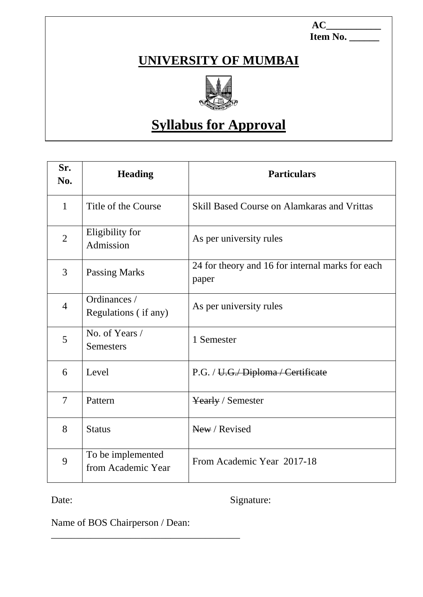$AC$  **Item No. \_\_\_\_\_\_**

### **UNIVERSITY OF MUMBAI**



# **Syllabus for Approval**

| Sr.<br>No.     | <b>Heading</b>                          | <b>Particulars</b>                                        |
|----------------|-----------------------------------------|-----------------------------------------------------------|
| $\mathbf{1}$   | Title of the Course                     | <b>Skill Based Course on Alamkaras and Vrittas</b>        |
| $\overline{2}$ | Eligibility for<br>Admission            | As per university rules                                   |
| 3              | <b>Passing Marks</b>                    | 24 for theory and 16 for internal marks for each<br>paper |
| $\overline{4}$ | Ordinances /<br>Regulations (if any)    | As per university rules                                   |
| 5              | No. of Years /<br>Semesters             | 1 Semester                                                |
| 6              | Level                                   | P.G. / U.G. Diploma / Certificate                         |
| $\tau$         | Pattern                                 | Yearly / Semester                                         |
| 8              | <b>Status</b>                           | New / Revised                                             |
| 9              | To be implemented<br>from Academic Year | From Academic Year 2017-18                                |

Date: Signature:

Name of BOS Chairperson / Dean:

\_\_\_\_\_\_\_\_\_\_\_\_\_\_\_\_\_\_\_\_\_\_\_\_\_\_\_\_\_\_\_\_\_\_\_\_\_\_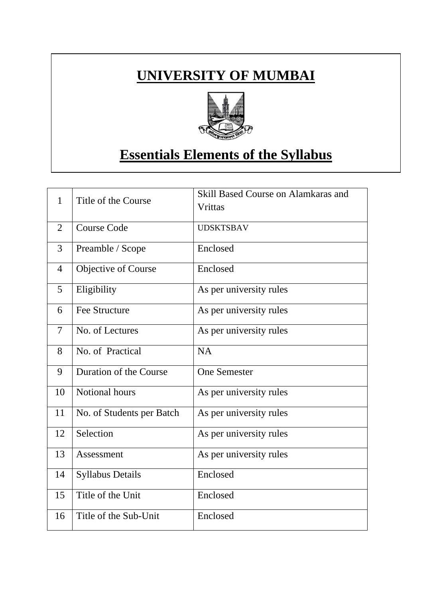### **UNIVERSITY OF MUMBAI**



## **Essentials Elements of the Syllabus**

| $\mathbf{1}$   | Title of the Course       | Skill Based Course on Alamkaras and<br>Vrittas |
|----------------|---------------------------|------------------------------------------------|
| $\overline{2}$ | <b>Course Code</b>        | <b>UDSKTSBAV</b>                               |
| 3              | Preamble / Scope          | Enclosed                                       |
| $\overline{4}$ | Objective of Course       | Enclosed                                       |
| 5              | Eligibility               | As per university rules                        |
| 6              | <b>Fee Structure</b>      | As per university rules                        |
| 7              | No. of Lectures           | As per university rules                        |
| 8              | No. of Practical          | <b>NA</b>                                      |
| 9              | Duration of the Course    | <b>One Semester</b>                            |
| 10             | Notional hours            | As per university rules                        |
| 11             | No. of Students per Batch | As per university rules                        |
| 12             | Selection                 | As per university rules                        |
| 13             | Assessment                | As per university rules                        |
| 14             | <b>Syllabus Details</b>   | Enclosed                                       |
| 15             | Title of the Unit         | Enclosed                                       |
| 16             | Title of the Sub-Unit     | Enclosed                                       |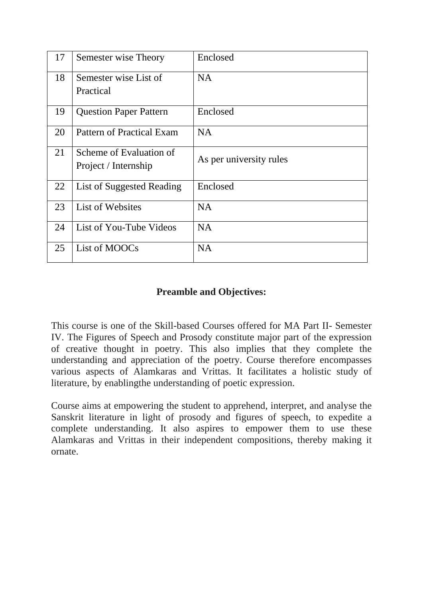| 17 | Semester wise Theory          | Enclosed                |
|----|-------------------------------|-------------------------|
| 18 | Semester wise List of         | <b>NA</b>               |
|    | Practical                     |                         |
| 19 | <b>Question Paper Pattern</b> | Enclosed                |
| 20 | Pattern of Practical Exam     | <b>NA</b>               |
| 21 | Scheme of Evaluation of       | As per university rules |
|    | Project / Internship          |                         |
| 22 | List of Suggested Reading     | Enclosed                |
| 23 | List of Websites              | <b>NA</b>               |
| 24 | List of You-Tube Videos       | <b>NA</b>               |
| 25 | List of MOOCs                 | <b>NA</b>               |

#### **Preamble and Objectives:**

This course is one of the Skill-based Courses offered for MA Part II- Semester IV. The Figures of Speech and Prosody constitute major part of the expression of creative thought in poetry. This also implies that they complete the understanding and appreciation of the poetry. Course therefore encompasses various aspects of Alamkaras and Vrittas. It facilitates a holistic study of literature, by enablingthe understanding of poetic expression.

Course aims at empowering the student to apprehend, interpret, and analyse the Sanskrit literature in light of prosody and figures of speech, to expedite a complete understanding. It also aspires to empower them to use these Alamkaras and Vrittas in their independent compositions, thereby making it ornate.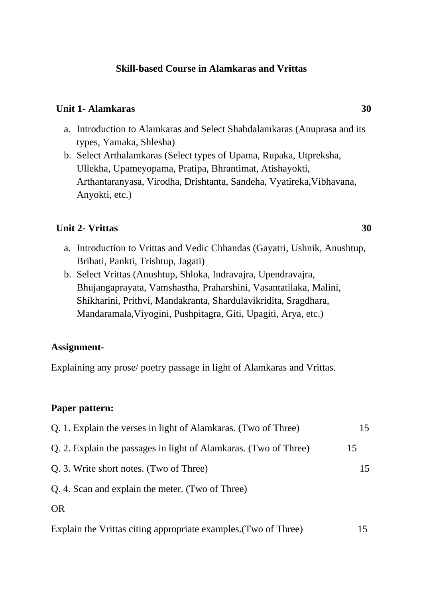#### **Skill-based Course in Alamkaras and Vrittas**

#### **Unit 1- Alamkaras** 30

- a. Introduction to Alamkaras and Select Shabdalamkaras (Anuprasa and its types, Yamaka, Shlesha)
- b. Select Arthalamkaras (Select types of Upama, Rupaka, Utpreksha, Ullekha, Upameyopama, Pratipa, Bhrantimat, Atishayokti, Arthantaranyasa, Virodha, Drishtanta, Sandeha, Vyatireka,Vibhavana, Anyokti, etc.)

#### **Unit 2- Vrittas 30**

- a. Introduction to Vrittas and Vedic Chhandas (Gayatri, Ushnik, Anushtup, Brihati, Pankti, Trishtup, Jagati)
- b. Select Vrittas (Anushtup, Shloka, Indravajra, Upendravajra, Bhujangaprayata, Vamshastha, Praharshini, Vasantatilaka, Malini, Shikharini, Prithvi, Mandakranta, Shardulavikridita, Sragdhara, Mandaramala,Viyogini, Pushpitagra, Giti, Upagiti, Arya, etc.)

#### **Assignment-**

Explaining any prose/ poetry passage in light of Alamkaras and Vrittas.

#### **Paper pattern:**

| Q. 1. Explain the verses in light of Alamkaras. (Two of Three)   | 15  |
|------------------------------------------------------------------|-----|
| Q. 2. Explain the passages in light of Alamkaras. (Two of Three) | 15  |
| Q. 3. Write short notes. (Two of Three)                          | 15  |
| Q. 4. Scan and explain the meter. (Two of Three)                 |     |
| OR                                                               |     |
| Explain the Vrittas citing appropriate examples. (Two of Three)  | 15. |